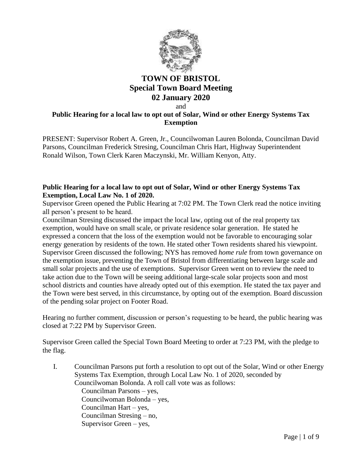

# **TOWN OF BRISTOL Special Town Board Meeting 02 January 2020**

and

## **Public Hearing for a local law to opt out of Solar, Wind or other Energy Systems Tax Exemption**

PRESENT: Supervisor Robert A. Green, Jr., Councilwoman Lauren Bolonda, Councilman David Parsons, Councilman Frederick Stresing, Councilman Chris Hart, Highway Superintendent Ronald Wilson, Town Clerk Karen Maczynski, Mr. William Kenyon, Atty.

### **Public Hearing for a local law to opt out of Solar, Wind or other Energy Systems Tax Exemption, Local Law No. 1 of 2020.**

Supervisor Green opened the Public Hearing at 7:02 PM. The Town Clerk read the notice inviting all person's present to be heard.

Councilman Stresing discussed the impact the local law, opting out of the real property tax exemption, would have on small scale, or private residence solar generation. He stated he expressed a concern that the loss of the exemption would not be favorable to encouraging solar energy generation by residents of the town. He stated other Town residents shared his viewpoint. Supervisor Green discussed the following; NYS has removed *home rule* from town governance on the exemption issue, preventing the Town of Bristol from differentiating between large scale and small solar projects and the use of exemptions. Supervisor Green went on to review the need to take action due to the Town will be seeing additional large-scale solar projects soon and most school districts and counties have already opted out of this exemption. He stated the tax payer and the Town were best served, in this circumstance, by opting out of the exemption. Board discussion of the pending solar project on Footer Road.

Hearing no further comment, discussion or person's requesting to be heard, the public hearing was closed at 7:22 PM by Supervisor Green.

Supervisor Green called the Special Town Board Meeting to order at 7:23 PM, with the pledge to the flag.

I. Councilman Parsons put forth a resolution to opt out of the Solar, Wind or other Energy Systems Tax Exemption, through Local Law No. 1 of 2020, seconded by Councilwoman Bolonda. A roll call vote was as follows:

> Councilman Parsons – yes, Councilwoman Bolonda – yes, Councilman Hart – yes, Councilman Stresing – no, Supervisor Green – yes,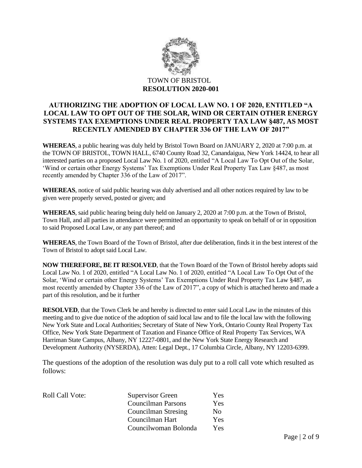

## **AUTHORIZING THE ADOPTION OF LOCAL LAW NO. 1 OF 2020, ENTITLED "A LOCAL LAW TO OPT OUT OF THE SOLAR, WIND OR CERTAIN OTHER ENERGY SYSTEMS TAX EXEMPTIONS UNDER REAL PROPERTY TAX LAW §487, AS MOST RECENTLY AMENDED BY CHAPTER 336 OF THE LAW OF 2017"**

**WHEREAS**, a public hearing was duly held by Bristol Town Board on JANUARY 2, 2020 at 7:00 p.m. at the TOWN OF BRISTOL, TOWN HALL, 6740 County Road 32, Canandaigua, New York 14424, to hear all interested parties on a proposed Local Law No. 1 of 2020, entitled "A Local Law To Opt Out of the Solar, 'Wind or certain other Energy Systems' Tax Exemptions Under Real Property Tax Law §487, as most recently amended by Chapter 336 of the Law of 2017".

**WHEREAS**, notice of said public hearing was duly advertised and all other notices required by law to be given were properly served, posted or given; and

**WHEREAS**, said public hearing being duly held on January 2, 2020 at 7:00 p.m. at the Town of Bristol, Town Hall, and all parties in attendance were permitted an opportunity to speak on behalf of or in opposition to said Proposed Local Law, or any part thereof; and

**WHEREAS**, the Town Board of the Town of Bristol, after due deliberation, finds it in the best interest of the Town of Bristol to adopt said Local Law.

**NOW THEREFORE, BE IT RESOLVED**, that the Town Board of the Town of Bristol hereby adopts said Local Law No. 1 of 2020, entitled "A Local Law No. 1 of 2020, entitled "A Local Law To Opt Out of the Solar, 'Wind or certain other Energy Systems' Tax Exemptions Under Real Property Tax Law §487, as most recently amended by Chapter 336 of the Law of 2017", a copy of which is attached hereto and made a part of this resolution, and be it further

**RESOLVED**, that the Town Clerk be and hereby is directed to enter said Local Law in the minutes of this meeting and to give due notice of the adoption of said local law and to file the local law with the following New York State and Local Authorities; Secretary of State of New York, Ontario County Real Property Tax Office, New York State Department of Taxation and Finance Office of Real Property Tax Services, WA Harriman State Campus, Albany, NY 12227-0801, and the New York State Energy Research and Development Authority (NYSERDA), Atten: Legal Dept., 17 Columbia Circle, Albany, NY 12203-6399.

The questions of the adoption of the resolution was duly put to a roll call vote which resulted as follows:

| <b>Roll Call Vote:</b> | Supervisor Green          | <b>Yes</b> |
|------------------------|---------------------------|------------|
|                        | <b>Councilman Parsons</b> | Yes        |
|                        | Councilman Stresing       | No.        |
|                        | Councilman Hart           | <b>Yes</b> |
|                        | Councilwoman Bolonda      | Yes.       |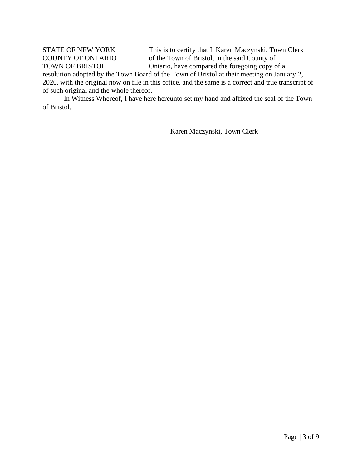STATE OF NEW YORK This is to certify that I, Karen Maczynski, Town Clerk COUNTY OF ONTARIO of the Town of Bristol, in the said County of TOWN OF BRISTOL Ontario, have compared the foregoing copy of a

\_\_\_\_\_\_\_\_\_\_\_\_\_\_\_\_\_\_\_\_\_\_\_\_\_\_\_\_\_\_\_\_\_\_

resolution adopted by the Town Board of the Town of Bristol at their meeting on January 2, 2020, with the original now on file in this office, and the same is a correct and true transcript of of such original and the whole thereof.

In Witness Whereof, I have here hereunto set my hand and affixed the seal of the Town of Bristol.

Karen Maczynski, Town Clerk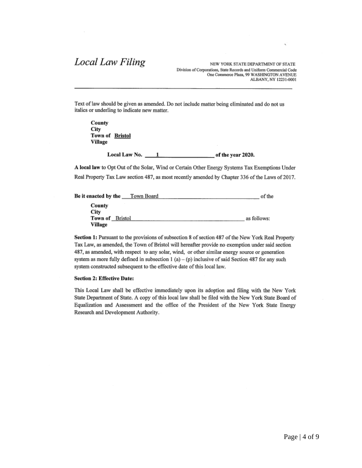# Local Law Filing

NEW YORK STATE DEPARTMENT OF STATE Division of Corporations, State Records and Uniform Commercial Code One Commerce Plaza, 99 WASHINGTON AVENUE ALBANY, NY 12231-0001

Text of law should be given as amended. Do not include matter being eliminated and do not us italics or underling to indicate new matter.

County. City Town of Bristol Village

> Local Law No.  $\qquad 1$ of the year 2020.

A local law to Opt Out of the Solar, Wind or Certain Other Energy Systems Tax Exemptions Under Real Property Tax Law section 487, as most recently amended by Chapter 336 of the Laws of 2017.

| Be it enacted by the    | Town Board | of the      |
|-------------------------|------------|-------------|
| County                  |            |             |
| City<br>Town of Bristol |            | as follows: |
| Village                 |            |             |

Section 1: Pursuant to the provisions of subsection 8 of section 487 of the New York Real Property Tax Law, as amended, the Town of Bristol will hereafter provide no exemption under said section 487, as amended, with respect to any solar, wind, or other similar energy source or generation system as more fully defined in subsection 1 (a) – (p) inclusive of said Section 487 for any such system constructed subsequent to the effective date of this local law.

### **Section 2: Effective Date:**

This Local Law shall be effective immediately upon its adoption and filing with the New York State Department of State. A copy of this local law shall be filed with the New York State Board of Equalization and Assessment and the office of the President of the New York State Energy Research and Development Authority.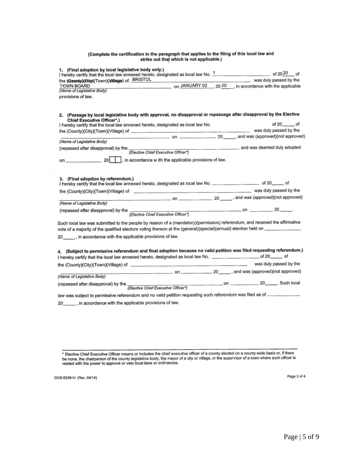# (Complete the certification in the paragraph that applies to the filing of this local law and<br>strike out that which is not applicable.)

| 1. (Final adoption by local legislative body only.)<br>I hereby certify that the local law annexed hereto, designated as local law No. 1 _______________________ of 2020__ of<br>the (@asndy)(@diy)(Town)()@asga) of BRISTOL<br>was duly passed by the<br>on JANUARY 02<br>20 20 , in accordance with the applicable<br>TOWN BOARD<br>(Name of Legislative Body)<br>provisions of law. |          |  |
|----------------------------------------------------------------------------------------------------------------------------------------------------------------------------------------------------------------------------------------------------------------------------------------------------------------------------------------------------------------------------------------|----------|--|
| 2. (Passage by local legislative body with approval, no disapproval or repassage after disapproval by the Elective                                                                                                                                                                                                                                                                     |          |  |
| <b>Chief Executive Officer*.)</b><br>I hereby certify that the local law annexed hereto, designated as local law No.                                                                                                                                                                                                                                                                   | of 20 of |  |
|                                                                                                                                                                                                                                                                                                                                                                                        |          |  |
| (Name of Legislative Body)                                                                                                                                                                                                                                                                                                                                                             |          |  |
| (Elective Chief Executive Officer*)<br>(Elective Chief Executive Officer*)<br>(repassed after disapproval) by the                                                                                                                                                                                                                                                                      |          |  |
|                                                                                                                                                                                                                                                                                                                                                                                        |          |  |
| 3. (Final adoption by referendum.)<br>I hereby certify that the local law annexed hereto, designated as local law No. ____________________ of 20______ of<br>(Name of Legislative Body)<br>Such local law was submitted to the people by reason of a (mandatory)(permissive) referendum, and received the affirmative                                                                  |          |  |
| 20______, in accordance with the applicable provisions of law.                                                                                                                                                                                                                                                                                                                         |          |  |
| 4. (Subject to permissive referendum and final adoption because no valid petition was filed requesting referendum.)<br>I hereby certify that the local law annexed hereto, designated as local law No. __________________________of 20________ of                                                                                                                                      |          |  |
| on 20 and was (approved) (not approved)<br>(Name of Legislative Body)                                                                                                                                                                                                                                                                                                                  |          |  |
|                                                                                                                                                                                                                                                                                                                                                                                        |          |  |
|                                                                                                                                                                                                                                                                                                                                                                                        |          |  |
|                                                                                                                                                                                                                                                                                                                                                                                        |          |  |

DOS-0239-f-l (Rev. 04/14)

 $\bar{\tau}$ 

Page 3 of 4

 $\mathcal{L}$ 

Filective Chief Executive Officer means or includes the chief executive officer of a county elected on a county-wide basis or, if there<br>be none, the chairperson of the county legislative body, the mayor of a city or villag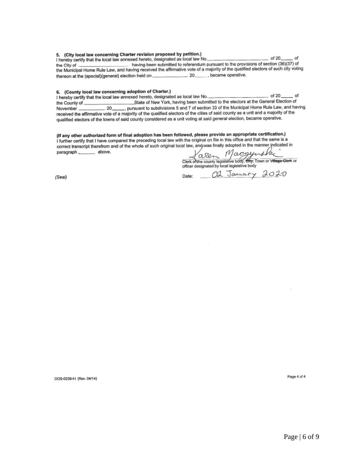### 5. (City local law concerning Charter revision proposed by petition.)

 $-$  of 20 $-$  of

I hereby certify that the local law annexed hereto, designated as local law No. having been submitted to referendum pursuant to the provisions of section (36)(37) of the City of the Municipal Home Rule Law, and having received the affirmative vote of a majority of the qualified electors of such city voting thereon at the (special)(general) election held on \_\_\_\_\_\_\_\_\_\_\_\_\_\_\_\_\_\_\_ 20 \_\_\_\_\_\_, became operative.

#### 6. (County local law concerning adoption of Charter.)

of 20 I hereby certify that the local law annexed hereto, designated as local law No.. of State of New York, having been submitted to the electors at the General Election of the County of \_\_ 20 \_\_\_\_\_, pursuant to subdivisions 5 and 7 of section 33 of the Municipal Home Rule Law, and having November\_ received the affirmative vote of a majority of the qualified electors of the cities of said county as a unit and a majority of the qualified electors of the towns of said county considered as a unit voting at said general election, became operative.

(If any other authorized form of final adoption has been followed, please provide an appropriate certification.) I further certify that I have compared the preceding local law with the original on file in this office and that the same is a correct transcript therefrom and of the whole of such original local law, and was finally adopted in the manner indicated in  $\frac{1}{2}$  above. paragraph.

Date:

Maczyn 'aren Clerk of the county legislative body, eny, Town or Village Clerk or

OД

officer designated by local legislative body

January 2020

(Seal)

DOS-0239-f-I (Rev. 04/14)

Page 4 of 4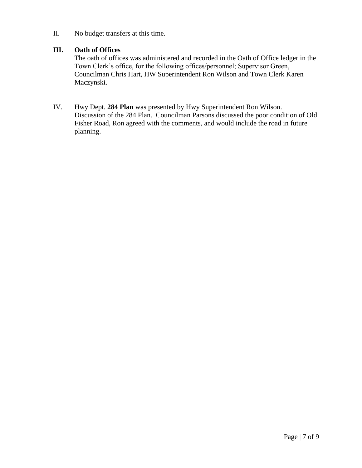II. No budget transfers at this time.

# **III. Oath of Offices**

The oath of offices was administered and recorded in the Oath of Office ledger in the Town Clerk's office, for the following offices/personnel; Supervisor Green, Councilman Chris Hart, HW Superintendent Ron Wilson and Town Clerk Karen Maczynski.

IV. Hwy Dept. **284 Plan** was presented by Hwy Superintendent Ron Wilson. Discussion of the 284 Plan. Councilman Parsons discussed the poor condition of Old Fisher Road, Ron agreed with the comments, and would include the road in future planning.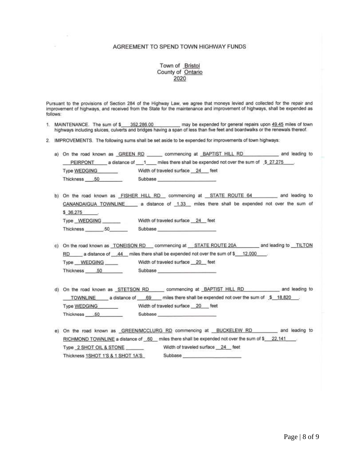### AGREEMENT TO SPEND TOWN HIGHWAY FUNDS

# Town of Bristol<br>County of Ontario 2020

Pursuant to the provisions of Section 284 of the Highway Law, we agree that moneys levied and collected for the repair and improvement of highways, and received from the State for the maintenance and improvement of highways, shall be expended as follows:

- MAINTENANCE. The sum of \$352,286.00 may be expended for general repairs upon 49.45 miles of town 1. highways including sluices, culverts and bridges having a span of less than five feet and boardwalks or the renewals thereof.
- 2. IMPROVEMENTS. The following sums shall be set aside to be expended for improvements of town highways:

|              | a) On the road known as GREEN RD commencing at BAPTIST HILL RD _________ and leading to                                                                                                                                        |  |
|--------------|--------------------------------------------------------------------------------------------------------------------------------------------------------------------------------------------------------------------------------|--|
|              | PEIRPONT a distance of 1 miles there shall be expended not over the sum of \$27,275                                                                                                                                            |  |
| Type WEDGING | Width of traveled surface 24 feet                                                                                                                                                                                              |  |
| Thickness 50 | Subbase <b>Subbase</b>                                                                                                                                                                                                         |  |
|              |                                                                                                                                                                                                                                |  |
|              | b) On the road known as FISHER HILL RD commencing at STATE ROUTE 64 and leading to                                                                                                                                             |  |
|              | CANANDAIGUA TOWNLINE __ a distance of 1,33 miles there shall be expended not over the sum of                                                                                                                                   |  |
| \$36,275     |                                                                                                                                                                                                                                |  |
| Type WEDGING | Width of traveled surface 24 feet                                                                                                                                                                                              |  |
| Thickness 50 | Subbase and the state of the state of the state of the state of the state of the state of the state of the state of the state of the state of the state of the state of the state of the state of the state of the state of th |  |
|              |                                                                                                                                                                                                                                |  |
|              | c) On the road known as TONEISON RD commencing at STATE ROUTE 20A and leading to TILTON                                                                                                                                        |  |
| RD.          | a distance of 44 miles there shall be expended not over the sum of \$12,000                                                                                                                                                    |  |

Type WEDGING Width of traveled surface 20 feet

Thickness .50 Subbase

- d) On the road known as STETSON RD commencing at BAPTIST HILL RD \_\_\_\_\_\_\_\_\_\_ and leading to TOWNLINE a distance of 69 miles there shall be expended not over the sum of \$ 18,820 Width of traveled surface 20 feet Type WEDGING Thickness 50 Subbase
- e) On the road known as GREEN/MCCLURG RD commencing at \_BUCKELEW RD \_\_\_\_\_\_\_\_ and leading to RICHMOND TOWNLINE a distance of 60 miles there shall be expended not over the sum of \$ 22,141 Type 2 SHOT OIL & STONE Width of traveled surface 24 feet Subbase Thickness 1SHOT 1'S & 1 SHOT 1A'S